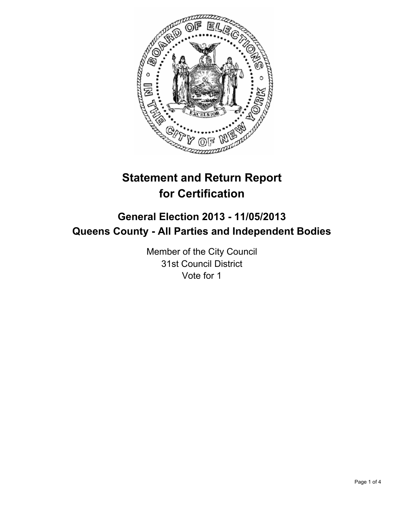

# **Statement and Return Report for Certification**

## **General Election 2013 - 11/05/2013 Queens County - All Parties and Independent Bodies**

Member of the City Council 31st Council District Vote for 1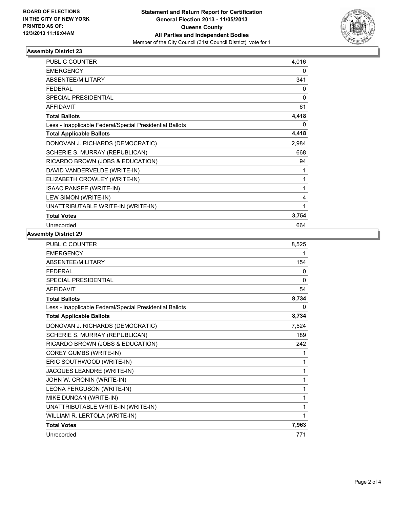

## **Assembly District 23**

| <b>PUBLIC COUNTER</b>                                    | 4,016 |
|----------------------------------------------------------|-------|
| <b>EMERGENCY</b>                                         | 0     |
| ABSENTEE/MILITARY                                        | 341   |
| <b>FEDERAL</b>                                           | 0     |
| <b>SPECIAL PRESIDENTIAL</b>                              | 0     |
| <b>AFFIDAVIT</b>                                         | 61    |
| <b>Total Ballots</b>                                     | 4,418 |
| Less - Inapplicable Federal/Special Presidential Ballots | 0     |
| <b>Total Applicable Ballots</b>                          | 4,418 |
| DONOVAN J. RICHARDS (DEMOCRATIC)                         | 2,984 |
| SCHERIE S. MURRAY (REPUBLICAN)                           | 668   |
| RICARDO BROWN (JOBS & EDUCATION)                         | 94    |
| DAVID VANDERVELDE (WRITE-IN)                             | 1     |
| ELIZABETH CROWLEY (WRITE-IN)                             | 1     |
| <b>ISAAC PANSEE (WRITE-IN)</b>                           | 1     |
| LEW SIMON (WRITE-IN)                                     | 4     |
| UNATTRIBUTABLE WRITE-IN (WRITE-IN)                       | 1     |
| <b>Total Votes</b>                                       | 3,754 |
| Unrecorded                                               | 664   |

### **Assembly District 29**

| PUBLIC COUNTER                                           | 8,525 |
|----------------------------------------------------------|-------|
| <b>EMERGENCY</b>                                         | 1     |
| ABSENTEE/MILITARY                                        | 154   |
| <b>FFDFRAI</b>                                           | 0     |
| <b>SPECIAL PRESIDENTIAL</b>                              | 0     |
| <b>AFFIDAVIT</b>                                         | 54    |
| <b>Total Ballots</b>                                     | 8,734 |
| Less - Inapplicable Federal/Special Presidential Ballots | 0     |
| <b>Total Applicable Ballots</b>                          | 8,734 |
| DONOVAN J. RICHARDS (DEMOCRATIC)                         | 7,524 |
| SCHERIE S. MURRAY (REPUBLICAN)                           | 189   |
| RICARDO BROWN (JOBS & EDUCATION)                         | 242   |
| COREY GUMBS (WRITE-IN)                                   | 1     |
| ERIC SOUTHWOOD (WRITE-IN)                                | 1     |
| JACQUES LEANDRE (WRITE-IN)                               | 1     |
| JOHN W. CRONIN (WRITE-IN)                                | 1     |
| LEONA FERGUSON (WRITE-IN)                                | 1     |
| MIKE DUNCAN (WRITE-IN)                                   | 1     |
| UNATTRIBUTABLE WRITE-IN (WRITE-IN)                       | 1     |
| WILLIAM R. LERTOLA (WRITE-IN)                            | 1     |
| <b>Total Votes</b>                                       | 7,963 |
| Unrecorded                                               | 771   |
|                                                          |       |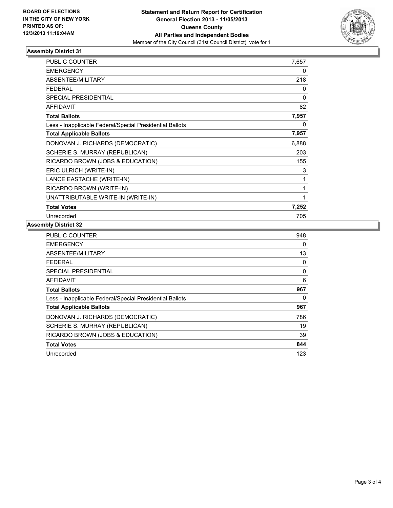

### **Assembly District 31**

| PUBLIC COUNTER                                           | 7,657 |
|----------------------------------------------------------|-------|
| <b>EMERGENCY</b>                                         | 0     |
| <b>ABSENTEE/MILITARY</b>                                 | 218   |
| <b>FEDERAL</b>                                           | 0     |
| <b>SPECIAL PRESIDENTIAL</b>                              | 0     |
| <b>AFFIDAVIT</b>                                         | 82    |
| <b>Total Ballots</b>                                     | 7,957 |
| Less - Inapplicable Federal/Special Presidential Ballots | 0     |
| <b>Total Applicable Ballots</b>                          | 7,957 |
| DONOVAN J. RICHARDS (DEMOCRATIC)                         | 6,888 |
| SCHERIE S. MURRAY (REPUBLICAN)                           | 203   |
| RICARDO BROWN (JOBS & EDUCATION)                         | 155   |
| ERIC ULRICH (WRITE-IN)                                   | 3     |
| LANCE EASTACHE (WRITE-IN)                                | 1     |
| RICARDO BROWN (WRITE-IN)                                 | 1     |
| UNATTRIBUTABLE WRITE-IN (WRITE-IN)                       | 1     |
| <b>Total Votes</b>                                       | 7,252 |
| Unrecorded                                               | 705   |

#### **Assembly District 32**

| <b>PUBLIC COUNTER</b>                                    | 948 |
|----------------------------------------------------------|-----|
| <b>EMERGENCY</b>                                         | 0   |
| ABSENTEE/MILITARY                                        | 13  |
| FFDFRAI                                                  | 0   |
| <b>SPECIAL PRESIDENTIAL</b>                              | 0   |
| <b>AFFIDAVIT</b>                                         | 6   |
| <b>Total Ballots</b>                                     | 967 |
| Less - Inapplicable Federal/Special Presidential Ballots | 0   |
| <b>Total Applicable Ballots</b>                          | 967 |
| DONOVAN J. RICHARDS (DEMOCRATIC)                         | 786 |
| SCHERIE S. MURRAY (REPUBLICAN)                           | 19  |
| RICARDO BROWN (JOBS & EDUCATION)                         | 39  |
| <b>Total Votes</b>                                       | 844 |
| Unrecorded                                               | 123 |